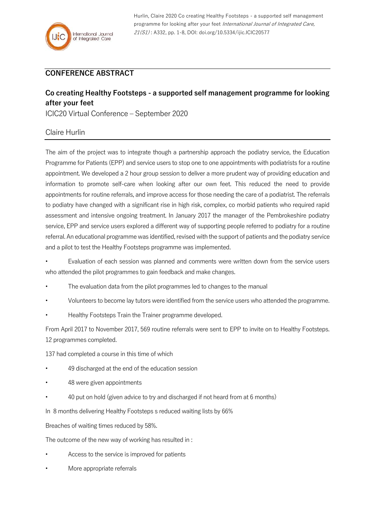Hurlin, Claire 2020 Co creating Healthy Footsteps - a supported self management programme for looking after your feet International Journal of Integrated Care, 21(S1) : A332, pp. 1-8, DOI: doi.org/10.5334/ijic.ICIC20577

## **CONFERENCE ABSTRACT**

## **Co creating Healthy Footsteps - a supported self management programme for looking after your feet**

ICIC20 Virtual Conference – September 2020

## Claire Hurlin

The aim of the project was to integrate though a partnership approach the podiatry service, the Education Programme for Patients (EPP) and service users to stop one to one appointments with podiatrists for a routine appointment. We developed a 2 hour group session to deliver a more prudent way of providing education and information to promote self-care when looking after our own feet. This reduced the need to provide appointments for routine referrals, and improve access for those needing the care of a podiatrist. The referrals to podiatry have changed with a significant rise in high risk, complex, co morbid patients who required rapid assessment and intensive ongoing treatment. In January 2017 the manager of the Pembrokeshire podiatry service, EPP and service users explored a different way of supporting people referred to podiatry for a routine referral. An educational programme was identified, revised with the support of patients and the podiatry service and a pilot to test the Healthy Footsteps programme was implemented.

• Evaluation of each session was planned and comments were written down from the service users who attended the pilot programmes to gain feedback and make changes.

- The evaluation data from the pilot programmes led to changes to the manual
- Volunteers to become lay tutors were identified from the service users who attended the programme.
- Healthy Footsteps Train the Trainer programme developed.

From April 2017 to November 2017, 569 routine referrals were sent to EPP to invite on to Healthy Footsteps. 12 programmes completed.

137 had completed a course in this time of which

- 49 discharged at the end of the education session
- 48 were given appointments
- 40 put on hold (given advice to try and discharged if not heard from at 6 months)

In 8 months delivering Healthy Footsteps s reduced waiting lists by 66%

Breaches of waiting times reduced by 58%.

The outcome of the new way of working has resulted in :

- Access to the service is improved for patients
- More appropriate referrals